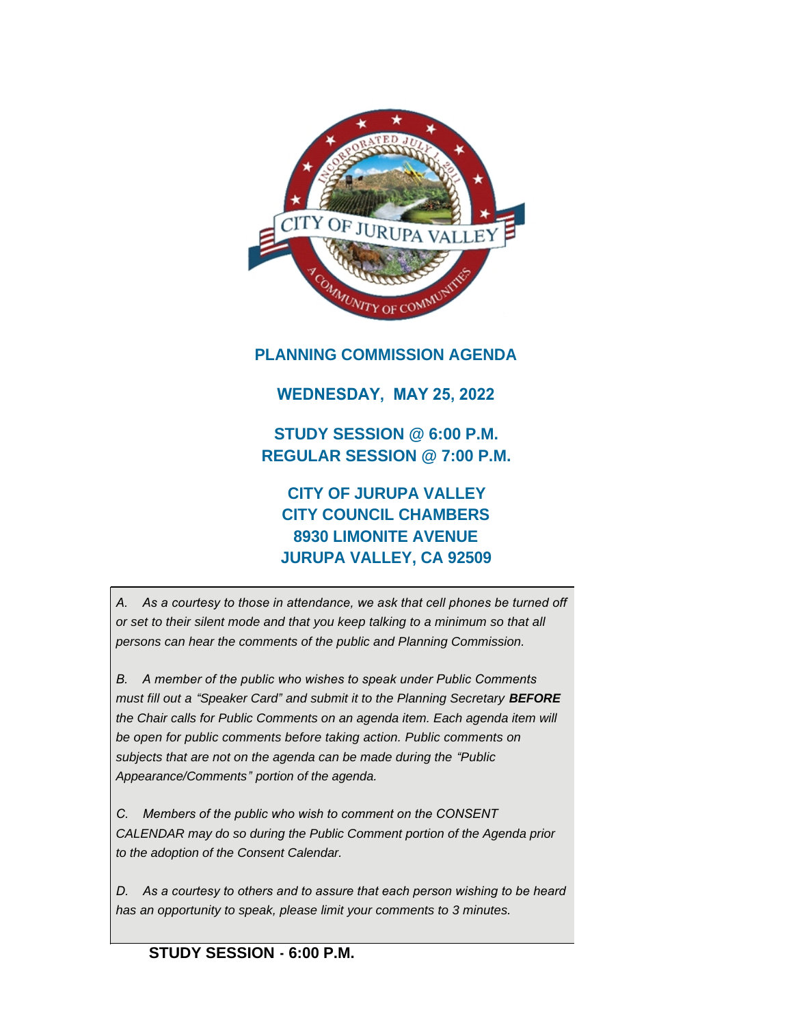

# **PLANNING COMMISSION AGENDA**

# **WEDNESDAY, MAY 25, 2022**

**STUDY SESSION @ 6:00 P.M. REGULAR SESSION @ 7:00 P.M.**

# **CITY OF JURUPA VALLEY CITY COUNCIL CHAMBERS 8930 LIMONITE AVENUE JURUPA VALLEY, CA 92509**

*A. As a courtesy to those in attendance, we ask that cell phones be turned off or set to their silent mode and that you keep talking to a minimum so that all persons can hear the comments of the public and Planning Commission.*

*B. A member of the public who wishes to speak under Public Comments must fill out a "Speaker Card" and submit it to the Planning Secretary BEFORE the Chair calls for Public Comments on an agenda item. Each agenda item will be open for public comments before taking action. Public comments on subjects that are not on the agenda can be made during the "Public Appearance/Comments" portion of the agenda.*

*C. Members of the public who wish to comment on the CONSENT CALENDAR may do so during the Public Comment portion of the Agenda prior to the adoption of the Consent Calendar.*

*D. As a courtesy to others and to assure that each person wishing to be heard has an opportunity to speak, please limit your comments to 3 minutes.*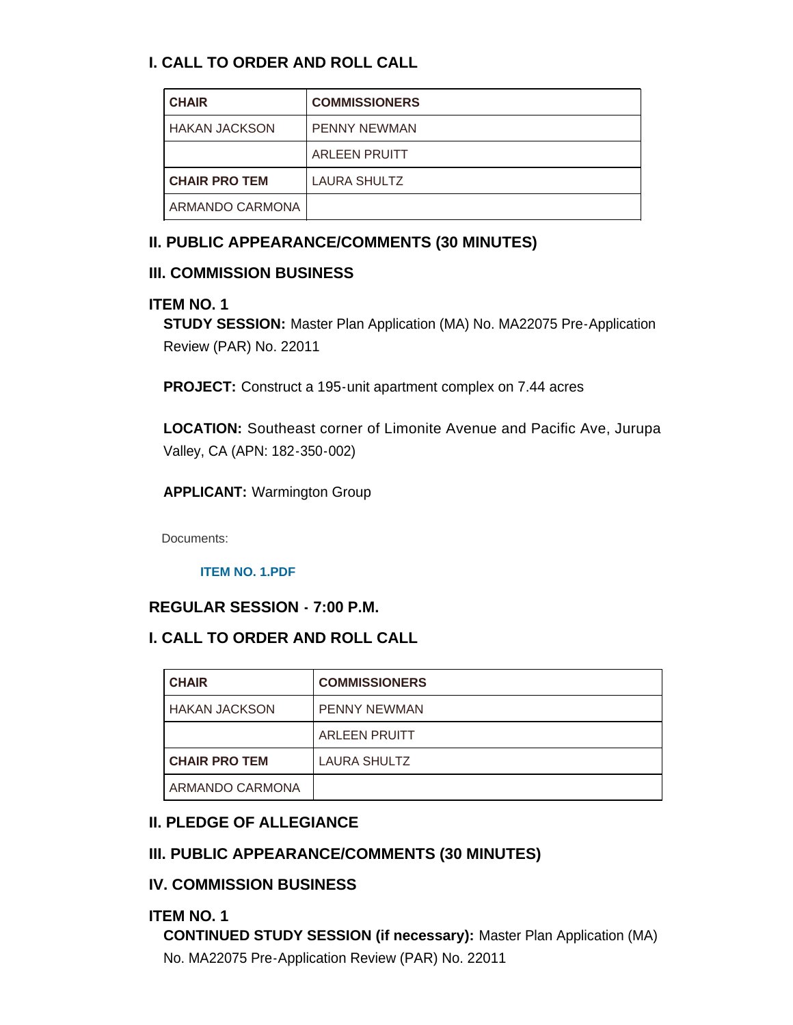# **I. CALL TO ORDER AND ROLL CALL**

| <b>CHAIR</b>         | <b>COMMISSIONERS</b> |
|----------------------|----------------------|
| I HAKAN JACKSON      | <b>PENNY NEWMAN</b>  |
|                      | <b>ARLEEN PRUITT</b> |
| <b>CHAIR PRO TEM</b> | <b>LAURA SHULTZ</b>  |
| ARMANDO CARMONA      |                      |

# **II. PUBLIC APPEARANCE/COMMENTS (30 MINUTES)**

## **III. COMMISSION BUSINESS**

### **ITEM NO. 1**

**STUDY SESSION:** Master Plan Application (MA) No. MA22075 Pre-Application Review (PAR) No. 22011

**PROJECT:** Construct a 195-unit apartment complex on 7.44 acres

**LOCATION:** Southeast corner of Limonite Avenue and Pacific Ave, Jurupa Valley, CA (APN: 182-350-002)

**APPLICANT:** Warmington Group

Documents:

**[ITEM NO. 1.PDF](https://www.jurupavalley.org/AgendaCenter/ViewFile/Item/661?fileID=676)**

# **REGULAR SESSION - 7:00 P.M.**

# **I. CALL TO ORDER AND ROLL CALL**

| <b>CHAIR</b>         | <b>COMMISSIONERS</b> |
|----------------------|----------------------|
| <b>HAKAN JACKSON</b> | <b>PENNY NEWMAN</b>  |
|                      | <b>ARLEEN PRUITT</b> |
| <b>CHAIR PRO TEM</b> | LAURA SHULTZ         |
| ARMANDO CARMONA      |                      |

# **II. PLEDGE OF ALLEGIANCE**

# **III. PUBLIC APPEARANCE/COMMENTS (30 MINUTES)**

# **IV. COMMISSION BUSINESS**

### **ITEM NO. 1**

**CONTINUED STUDY SESSION (if necessary):** Master Plan Application (MA) No. MA22075 Pre-Application Review (PAR) No. 22011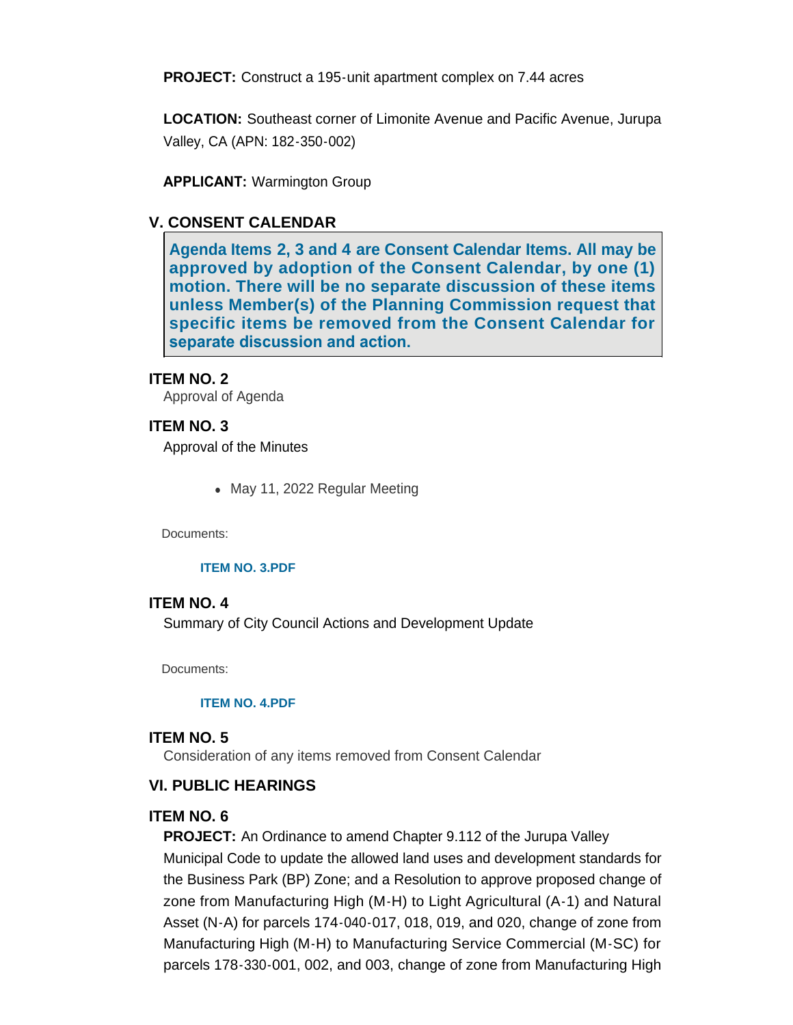**PROJECT:** Construct a 195-unit apartment complex on 7.44 acres

**LOCATION:** Southeast corner of Limonite Avenue and Pacific Avenue, Jurupa Valley, CA (APN: 182-350-002)

**APPLICANT:** Warmington Group

## **V. CONSENT CALENDAR**

**Agenda Items 2, 3 and 4 are Consent Calendar Items. All may be approved by adoption of the Consent Calendar, by one (1) motion. There will be no separate discussion of these items unless Member(s) of the Planning Commission request that specific items be removed from the Consent Calendar for separate discussion and action.** 

### **ITEM NO. 2**

Approval of Agenda

### **ITEM NO. 3**

Approval of the Minutes

• May 11, 2022 Regular Meeting

Documents:

#### **[ITEM NO. 3.PDF](https://www.jurupavalley.org/AgendaCenter/ViewFile/Item/670?fileID=677)**

#### **ITEM NO. 4**

Summary of City Council Actions and Development Update

Documents:

#### **[ITEM NO. 4.PDF](https://www.jurupavalley.org/AgendaCenter/ViewFile/Item/671?fileID=678)**

#### **ITEM NO. 5**

Consideration of any items removed from Consent Calendar

### **VI. PUBLIC HEARINGS**

### **ITEM NO. 6**

**PROJECT:** An Ordinance to amend Chapter 9.112 of the Jurupa Valley Municipal Code to update the allowed land uses and development standards for the Business Park (BP) Zone; and a Resolution to approve proposed change of zone from Manufacturing High (M-H) to Light Agricultural (A-1) and Natural Asset (N-A) for parcels 174-040-017, 018, 019, and 020, change of zone from Manufacturing High (M-H) to Manufacturing Service Commercial (M-SC) for parcels 178-330-001, 002, and 003, change of zone from Manufacturing High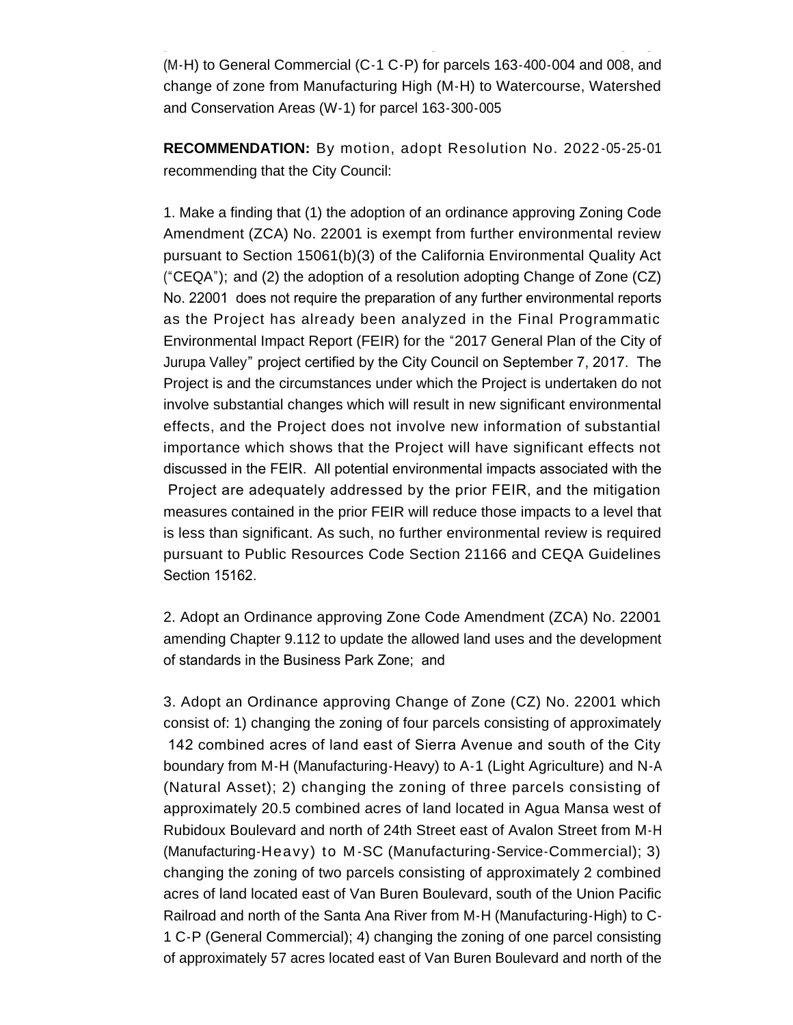(M-H) to General Commercial (C-1 C-P) for parcels 163-400-004 and 008, and change of zone from Manufacturing High (M-H) to Watercourse, Watershed and Conservation Areas (W-1) for parcel 163-300-005

parcels 178-330-001, 002, and 003, change of zone from Manufacturing High

**RECOMMENDATION:** By motion, adopt Resolution No. 2022 -05-25-01 recommending that the City Council:

1. Make a finding that (1) the adoption of an ordinance approving Zoning Code Amendment (ZCA) No. 22001 is exempt from further environmental review pursuant to Section 15061(b)(3) of the California Environmental Quality Act ("CEQA"); and (2) the adoption of a resolution adopting Change of Zone (CZ) No. 22001 does not require the preparation of any further environmental reports as the Project has already been analyzed in the Final Programmatic Environmental Impact Report (FEIR) for the "2017 General Plan of the City of Jurupa Valley" project certified by the City Council on September 7, 2017. The Project is and the circumstances under which the Project is undertaken do not involve substantial changes which will result in new significant environmental effects, and the Project does not involve new information of substantial importance which shows that the Project will have significant effects not discussed in the FEIR. All potential environmental impacts associated with the Project are adequately addressed by the prior FEIR, and the mitigation measures contained in the prior FEIR will reduce those impacts to a level that is less than significant. As such, no further environmental review is required pursuant to Public Resources Code Section 21166 and CEQA Guidelines Section 15162.

2. Adopt an Ordinance approving Zone Code Amendment (ZCA) No. 22001 amending Chapter 9.112 to update the allowed land uses and the development of standards in the Business Park Zone; and

3. Adopt an Ordinance approving Change of Zone (CZ) No. 22001 which consist of: 1) changing the zoning of four parcels consisting of approximately 142 combined acres of land east of Sierra Avenue and south of the City boundary from M-H (Manufacturing-Heavy) to A-1 (Light Agriculture) and N-A (Natural Asset); 2) changing the zoning of three parcels consisting of approximately 20.5 combined acres of land located in Agua Mansa west of Rubidoux Boulevard and north of 24th Street east of Avalon Street from M-H (Manufacturing-Heavy) to M -SC (Manufacturing-Service-Commercial); 3) changing the zoning of two parcels consisting of approximately 2 combined acres of land located east of Van Buren Boulevard, south of the Union Pacific Railroad and north of the Santa Ana River from M-H (Manufacturing-High) to C-1 C-P (General Commercial); 4) changing the zoning of one parcel consisting of approximately 57 acres located east of Van Buren Boulevard and north of the